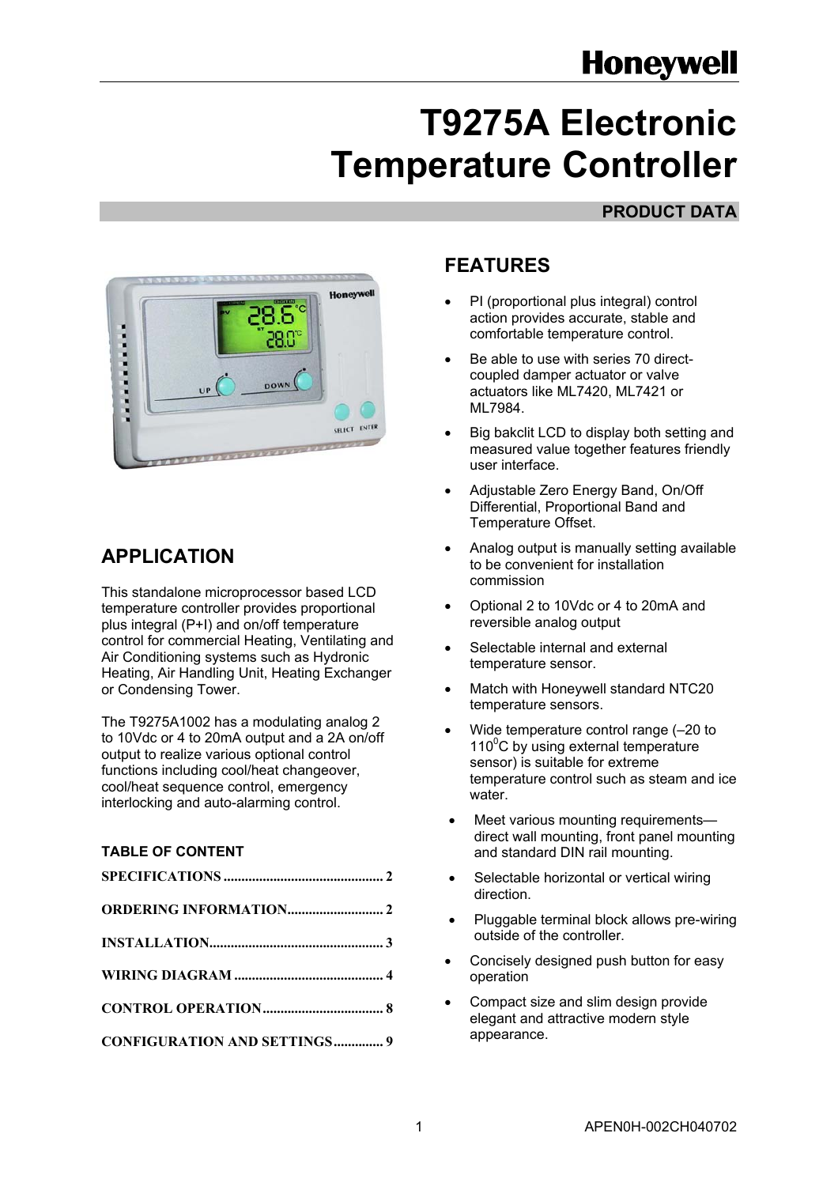# **Honeywell**

# **T9275A Electronic Temperature Controller**

## **PRODUCT DATA**



## **APPLICATION**

This standalone microprocessor based LCD temperature controller provides proportional plus integral (P+I) and on/off temperature control for commercial Heating, Ventilating and Air Conditioning systems such as Hydronic Heating, Air Handling Unit, Heating Exchanger or Condensing Tower.

The T9275A1002 has a modulating analog 2 to 10Vdc or 4 to 20mA output and a 2A on/off output to realize various optional control functions including cool/heat changeover, cool/heat sequence control, emergency interlocking and auto-alarming control.

#### **TABLE OF CONTENT**

| <b>CONFIGURATION AND SETTINGS 9</b> |  |
|-------------------------------------|--|

## **FEATURES**

- PI (proportional plus integral) control action provides accurate, stable and comfortable temperature control.
- Be able to use with series 70 directcoupled damper actuator or valve actuators like ML7420, ML7421 or ML7984.
- Big bakclit LCD to display both setting and measured value together features friendly user interface.
- Adjustable Zero Energy Band, On/Off Differential, Proportional Band and Temperature Offset.
- Analog output is manually setting available to be convenient for installation commission
- Optional 2 to 10Vdc or 4 to 20mA and reversible analog output
- Selectable internal and external temperature sensor.
- Match with Honeywell standard NTC20 temperature sensors.
- Wide temperature control range (-20 to 110°C by using external temperature sensor) is suitable for extreme temperature control such as steam and ice water.
- Meet various mounting requirementsdirect wall mounting, front panel mounting and standard DIN rail mounting.
- Selectable horizontal or vertical wiring direction.
- Pluggable terminal block allows pre-wiring outside of the controller.
- Concisely designed push button for easy operation
- Compact size and slim design provide elegant and attractive modern style appearance.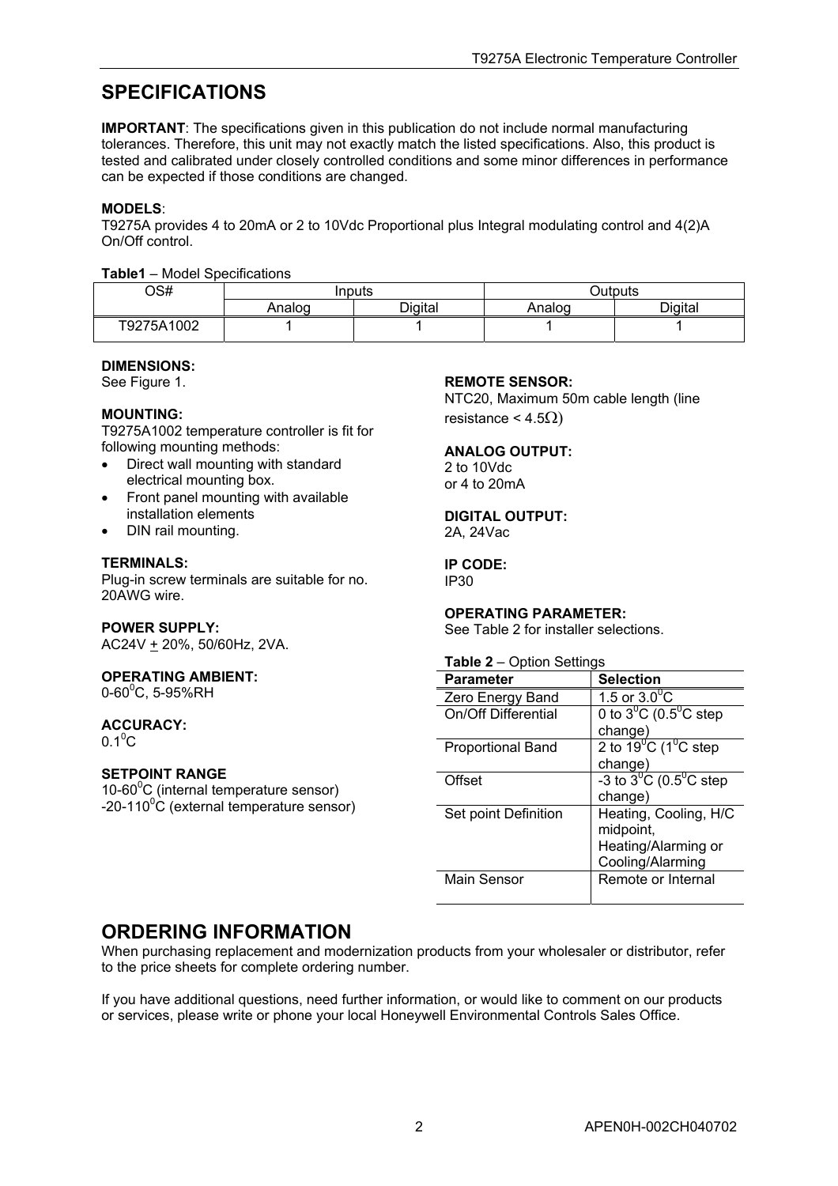## <span id="page-1-0"></span>**SPECIFICATIONS**

**IMPORTANT**: The specifications given in this publication do not include normal manufacturing tolerances. Therefore, this unit may not exactly match the listed specifications. Also, this product is tested and calibrated under closely controlled conditions and some minor differences in performance can be expected if those conditions are changed.

#### **MODELS**:

T9275A provides 4 to 20mA or 2 to 10Vdc Proportional plus Integral modulating control and 4(2)A On/Off control.

#### **Table1** – Model Specifications

| OS#        | inputs |         |        | Outputs |
|------------|--------|---------|--------|---------|
|            | Analoɑ | Digital | Analog | Digital |
| T9275A1002 |        |         |        |         |

#### **DIMENSIONS:**

See Figure 1.

#### **MOUNTING:**

T9275A1002 temperature controller is fit for following mounting methods:

- Direct wall mounting with standard electrical mounting box.
- Front panel mounting with available installation elements
- DIN rail mounting.

#### **TERMINALS:**

Plug-in screw terminals are suitable for no. 20AWG wire.

#### **POWER SUPPLY:**

AC24V + 20%, 50/60Hz, 2VA.

#### **OPERATING AMBIENT:**

0-60 $^{\rm o}$ C, 5-95%RH

#### **ACCURACY:**

 $0.1^0C$ 

#### **SETPOINT RANGE**

10-60 $\mathrm{^{0}C}$  (internal temperature sensor)  $-20-110^{\circ}$ C (external temperature sensor)

#### **REMOTE SENSOR:**

NTC20, Maximum 50m cable length (line resistance <  $4.5\Omega$ )

#### **ANALOG OUTPUT:**

#### 2 to 10Vdc or 4 to 20mA

#### **DIGITAL OUTPUT:**  2A, 24Vac

**IP CODE:** 

IP30

#### **OPERATING PARAMETER:**

See Table 2 for installer selections.

#### **Table 2** – Option Settings

| <b>Parameter</b>         | <b>Selection</b>                           |
|--------------------------|--------------------------------------------|
| Zero Energy Band         | 1.5 or $3.0^{\circ}$ C                     |
| On/Off Differential      | 0 to $3^0C$ (0.5 <sup>0</sup> C step       |
|                          | change)                                    |
| <b>Proportional Band</b> | 2 to $19^{\circ}$ C (1 $^{\circ}$ C step   |
|                          | change)                                    |
| Offset                   | $-3$ to $3^{0}$ C (0.5 <sup>0</sup> C step |
|                          | change)                                    |
| Set point Definition     | Heating, Cooling, H/C                      |
|                          | midpoint,                                  |
|                          | Heating/Alarming or                        |
|                          | Cooling/Alarming                           |
| Main Sensor              | Remote or Internal                         |
|                          |                                            |

## **ORDERING INFORMATION**

When purchasing replacement and modernization products from your wholesaler or distributor, refer to the price sheets for complete ordering number.

If you have additional questions, need further information, or would like to comment on our products or services, please write or phone your local Honeywell Environmental Controls Sales Office.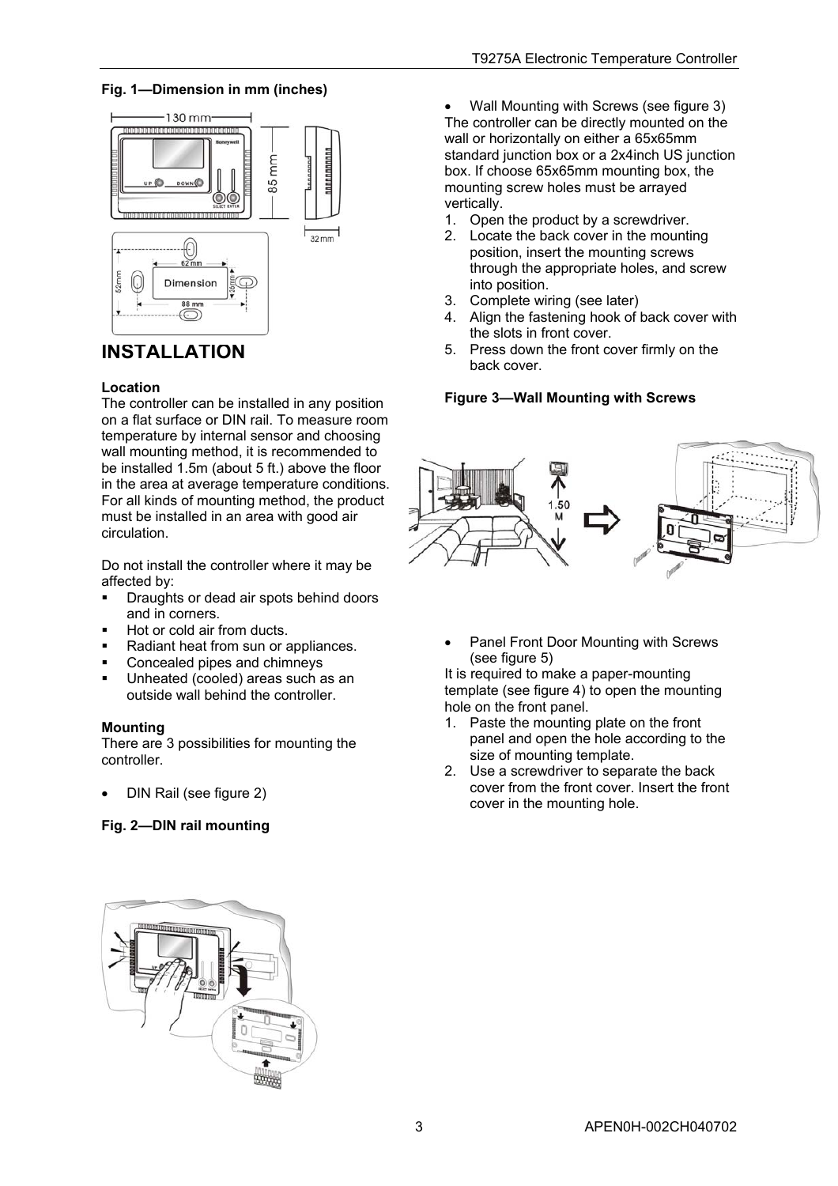#### <span id="page-2-0"></span>**Fig. 1—Dimension in mm (inches)**



## **INSTALLATION**

#### **Location**

The controller can be installed in any position on a flat surface or DIN rail. To measure room temperature by internal sensor and choosing wall mounting method, it is recommended to be installed 1.5m (about 5 ft.) above the floor in the area at average temperature conditions. For all kinds of mounting method, the product must be installed in an area with good air circulation.

Do not install the controller where it may be affected by:

- Draughts or dead air spots behind doors and in corners.
- Hot or cold air from ducts.
- Radiant heat from sun or appliances.
- Concealed pipes and chimneys
- Unheated (cooled) areas such as an outside wall behind the controller.

#### **Mounting**

There are 3 possibilities for mounting the controller.

• DIN Rail (see figure 2)

#### **Fig. 2—DIN rail mounting**



- 1. Open the product by a screwdriver.
- 2. Locate the back cover in the mounting position, insert the mounting screws through the appropriate holes, and screw into position.
- 3. Complete wiring (see later)
- 4. Align the fastening hook of back cover with the slots in front cover.
- 5. Press down the front cover firmly on the back cover.

#### **Figure 3—Wall Mounting with Screws**



• Panel Front Door Mounting with Screws (see figure 5)

It is required to make a paper-mounting template (see figure 4) to open the mounting hole on the front panel.

- 1. Paste the mounting plate on the front panel and open the hole according to the size of mounting template.
- 2. Use a screwdriver to separate the back cover from the front cover. Insert the front cover in the mounting hole.

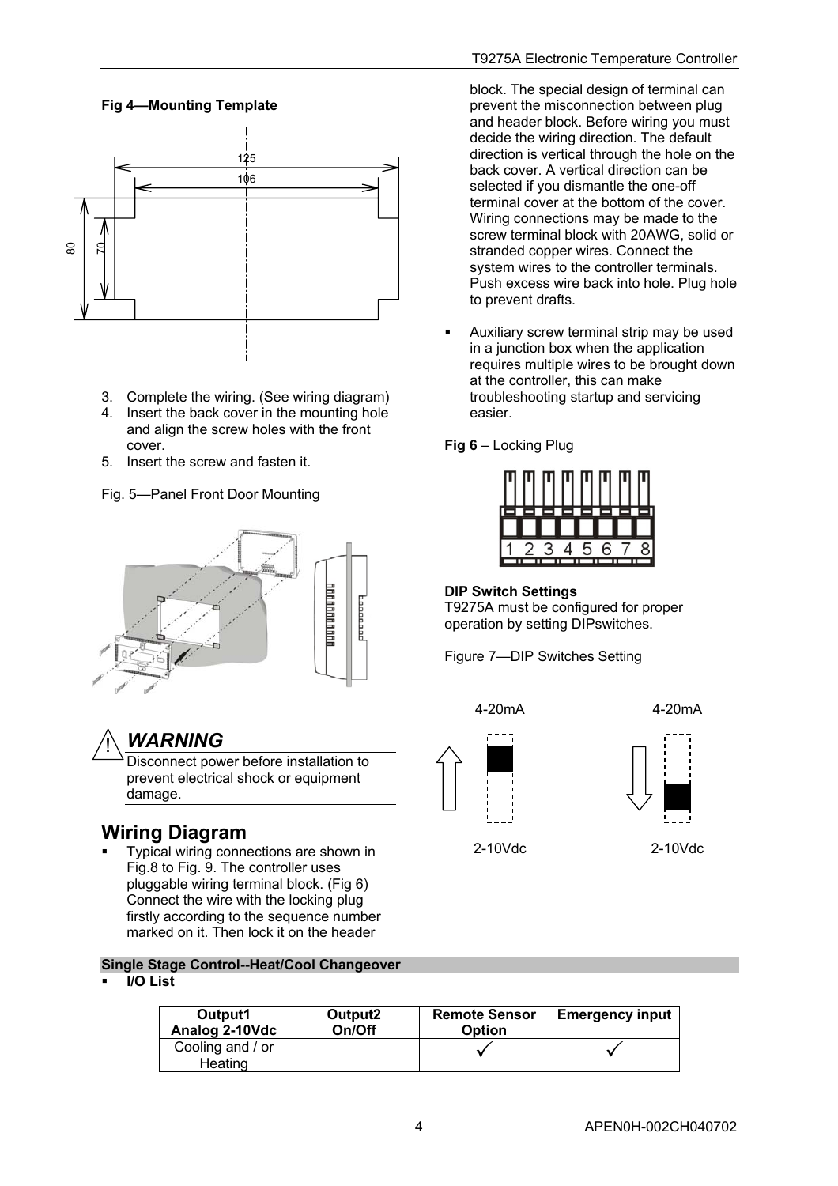<span id="page-3-0"></span>

- 3. Complete the wiring. (See wiring diagram)
- 4. Insert the back cover in the mounting hole and align the screw holes with the front cover.
- 5. Insert the screw and fasten it.
- Fig. 5—Panel Front Door Mounting





Disconnect power before installation to prevent electrical shock or equipment damage.

## **Wiring Diagram**

 Typical wiring connections are shown in Fig.8 to Fig. 9. The controller uses pluggable wiring terminal block. (Fig 6) Connect the wire with the locking plug firstly according to the sequence number marked on it. Then lock it on the header

#### **Single Stage Control--Heat/Cool Changeover**

#### **I/O List**

| Output1                     | Output2 | <b>Remote Sensor</b> | <b>Emergency input</b> |
|-----------------------------|---------|----------------------|------------------------|
| Analog 2-10Vdc              | On/Off  | <b>Option</b>        |                        |
| Cooling and / or<br>Heating |         |                      |                        |

block. The special design of terminal can prevent the misconnection between plug and header block. Before wiring you must decide the wiring direction. The default direction is vertical through the hole on the back cover. A vertical direction can be selected if you dismantle the one-off terminal cover at the bottom of the cover. Wiring connections may be made to the screw terminal block with 20AWG, solid or stranded copper wires. Connect the system wires to the controller terminals. Push excess wire back into hole. Plug hole to prevent drafts.

 Auxiliary screw terminal strip may be used in a junction box when the application requires multiple wires to be brought down at the controller, this can make troubleshooting startup and servicing easier.

#### **Fig 6** – Locking Plug

|  | 4 | 5 | 6 |  |
|--|---|---|---|--|
|  |   |   |   |  |

#### **DIP Switch Settings**

T9275A must be configured for proper operation by setting DIPswitches.

Figure 7—DIP Switches Setting







2-10Vdc 2-10Vdc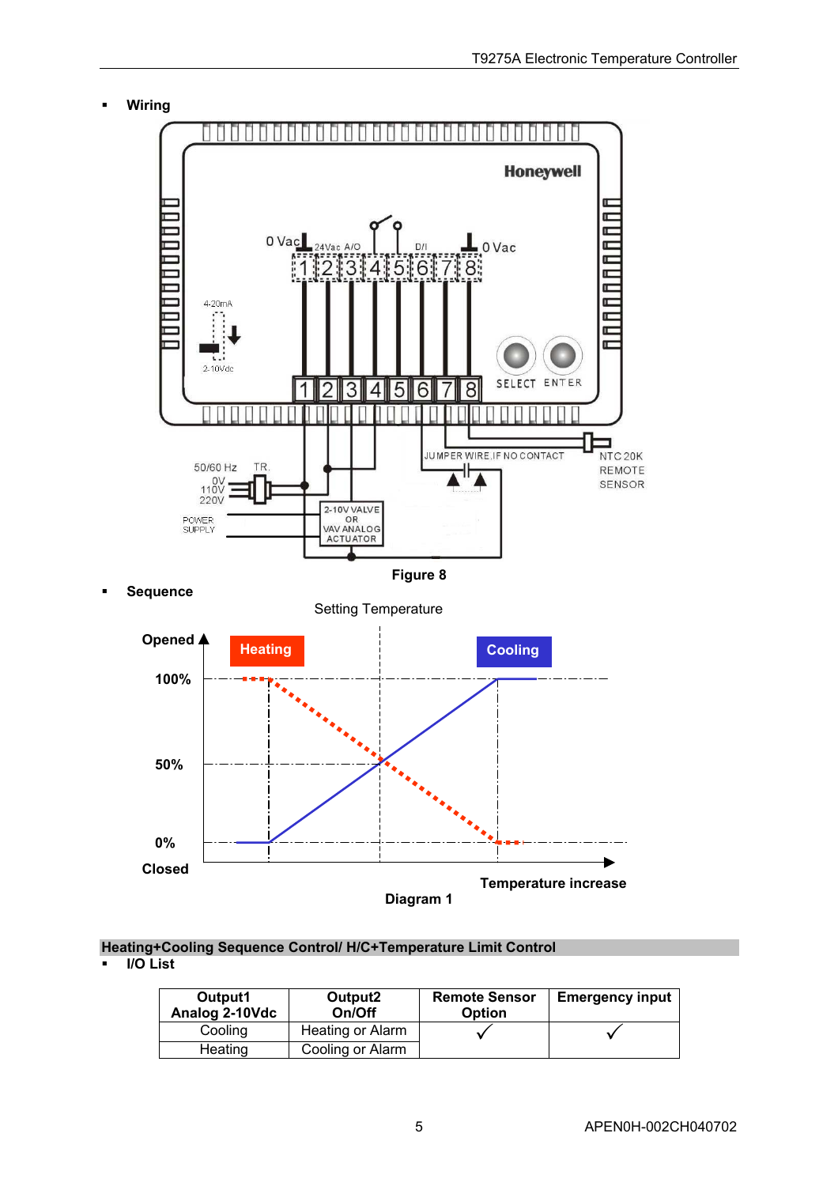

**Heating+Cooling Sequence Control/ H/C+Temperature Limit Control I** I/O List

| Output1<br>Analog 2-10Vdc | Output2<br>On/Off | <b>Remote Sensor</b><br>Option | <b>Emergency input</b> |
|---------------------------|-------------------|--------------------------------|------------------------|
| Cooling                   | Heating or Alarm  |                                |                        |
| Heating                   | Cooling or Alarm  |                                |                        |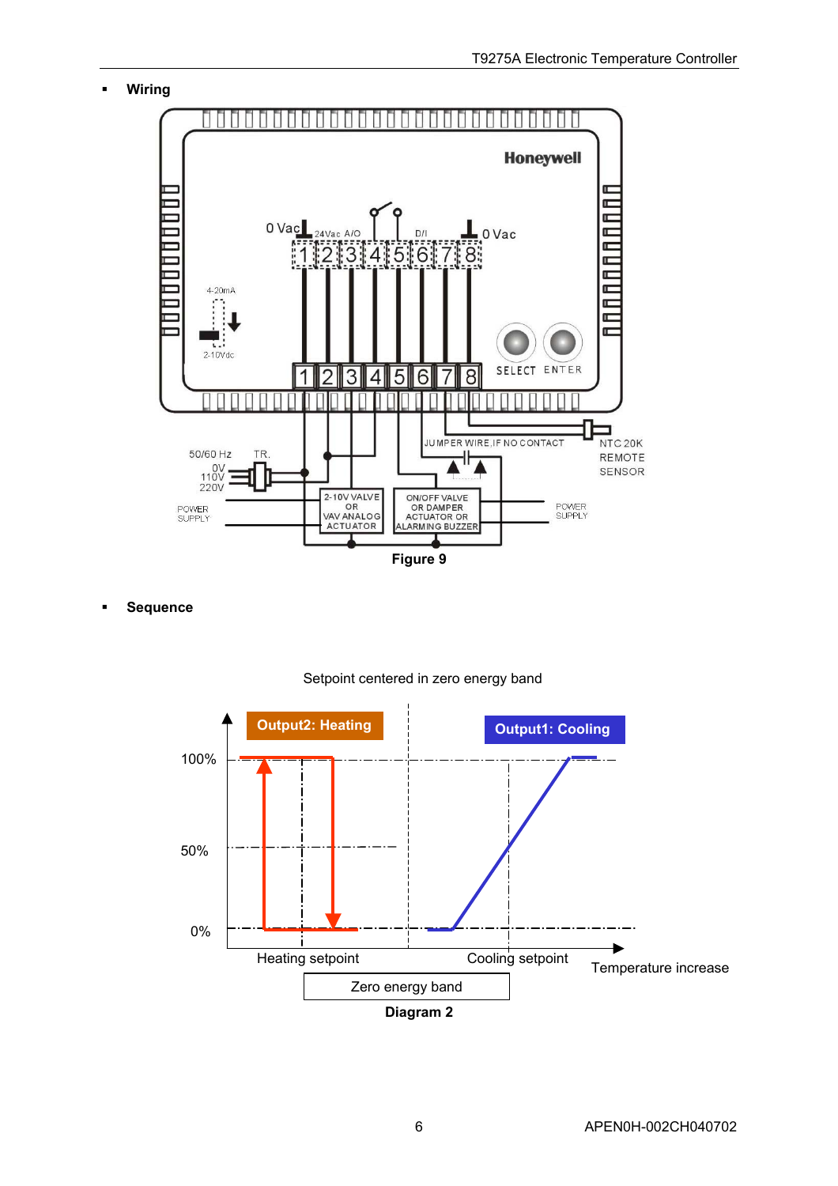**Wiring** 



**Sequence** 



#### Setpoint centered in zero energy band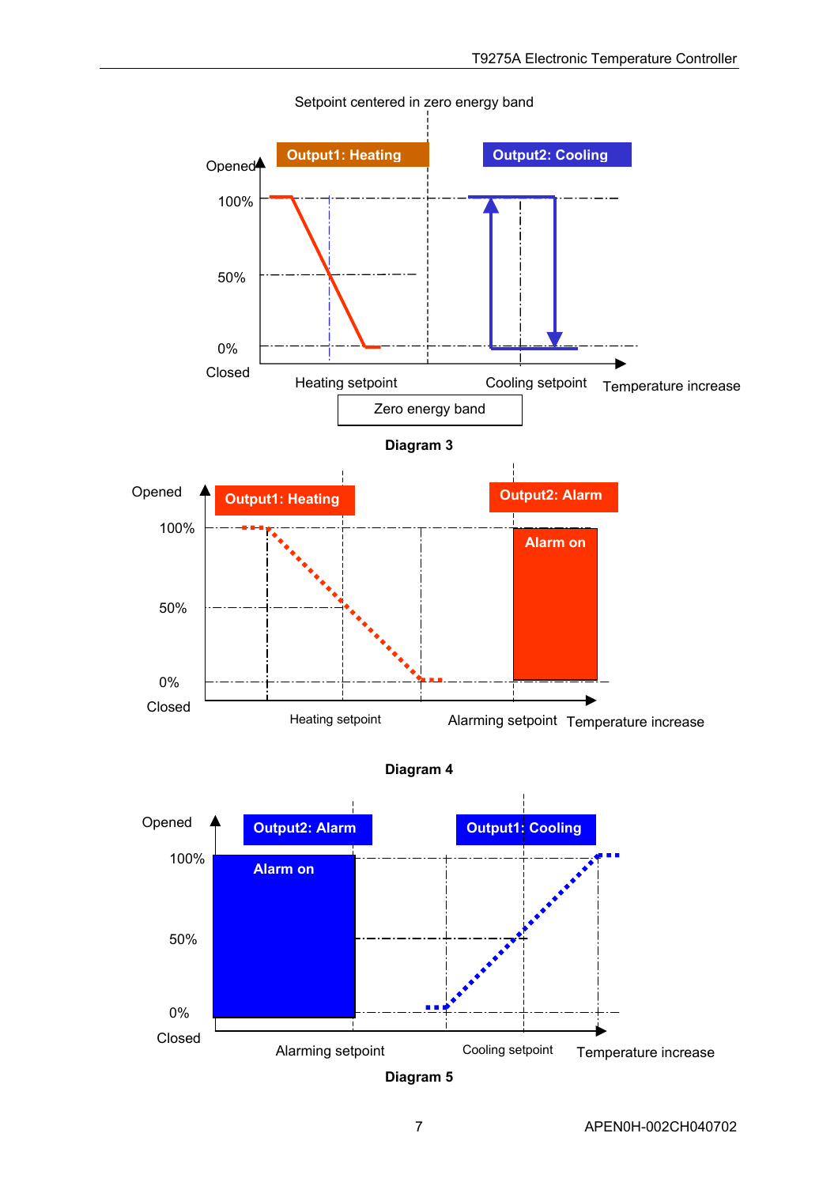

Setpoint centered in zero energy band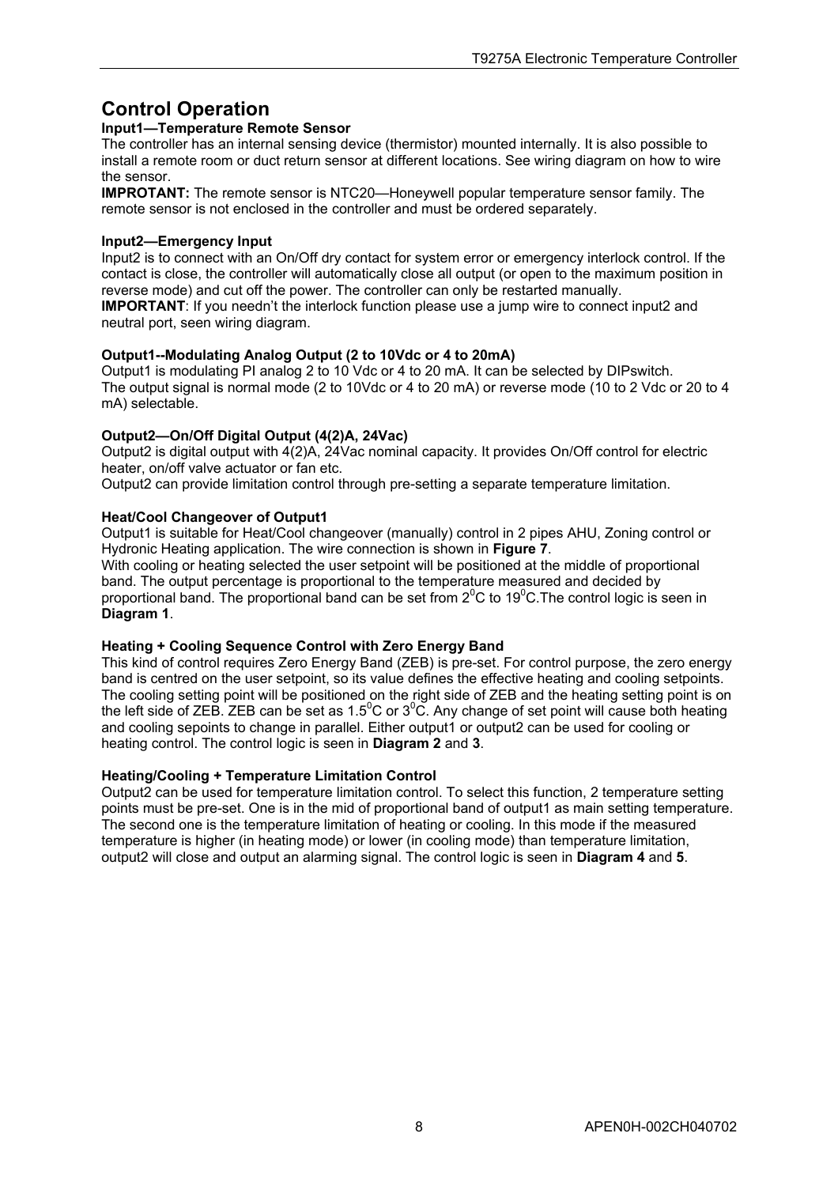## <span id="page-7-0"></span>**Control Operation**

#### **Input1—Temperature Remote Sensor**

The controller has an internal sensing device (thermistor) mounted internally. It is also possible to install a remote room or duct return sensor at different locations. See wiring diagram on how to wire the sensor.

**IMPROTANT:** The remote sensor is NTC20—Honeywell popular temperature sensor family. The remote sensor is not enclosed in the controller and must be ordered separately.

#### **Input2—Emergency Input**

Input2 is to connect with an On/Off dry contact for system error or emergency interlock control. If the contact is close, the controller will automatically close all output (or open to the maximum position in reverse mode) and cut off the power. The controller can only be restarted manually. **IMPORTANT**: If you needn't the interlock function please use a jump wire to connect input2 and neutral port, seen wiring diagram.

#### **Output1--Modulating Analog Output (2 to 10Vdc or 4 to 20mA)**

Output1 is modulating PI analog 2 to 10 Vdc or 4 to 20 mA. It can be selected by DIPswitch. The output signal is normal mode (2 to 10Vdc or 4 to 20 mA) or reverse mode (10 to 2 Vdc or 20 to 4 mA) selectable.

#### **Output2—On/Off Digital Output (4(2)A, 24Vac)**

Output2 is digital output with 4(2)A, 24Vac nominal capacity. It provides On/Off control for electric heater, on/off valve actuator or fan etc.

Output2 can provide limitation control through pre-setting a separate temperature limitation.

#### **Heat/Cool Changeover of Output1**

Output1 is suitable for Heat/Cool changeover (manually) control in 2 pipes AHU, Zoning control or Hydronic Heating application. The wire connection is shown in **Figure 7**. With cooling or heating selected the user setpoint will be positioned at the middle of proportional band. The output percentage is proportional to the temperature measured and decided by proportional band. The proportional band can be set from 2 $\rm{^0C}$  to 19 $\rm{^0C}$ . The control logic is seen in **Diagram 1**.

#### **Heating + Cooling Sequence Control with Zero Energy Band**

This kind of control requires Zero Energy Band (ZEB) is pre-set. For control purpose, the zero energy band is centred on the user setpoint, so its value defines the effective heating and cooling setpoints. The cooling setting point will be positioned on the right side of ZEB and the heating setting point is on the left side of ZEB. ZEB can be set as 1.5<sup>o</sup>C or 3<sup>o</sup>C. Any change of set point will cause both heating and cooling sepoints to change in parallel. Either output1 or output2 can be used for cooling or heating control. The control logic is seen in **Diagram 2** and **3**.

#### **Heating/Cooling + Temperature Limitation Control**

Output2 can be used for temperature limitation control. To select this function, 2 temperature setting points must be pre-set. One is in the mid of proportional band of output1 as main setting temperature. The second one is the temperature limitation of heating or cooling. In this mode if the measured temperature is higher (in heating mode) or lower (in cooling mode) than temperature limitation, output2 will close and output an alarming signal. The control logic is seen in **Diagram 4** and **5**.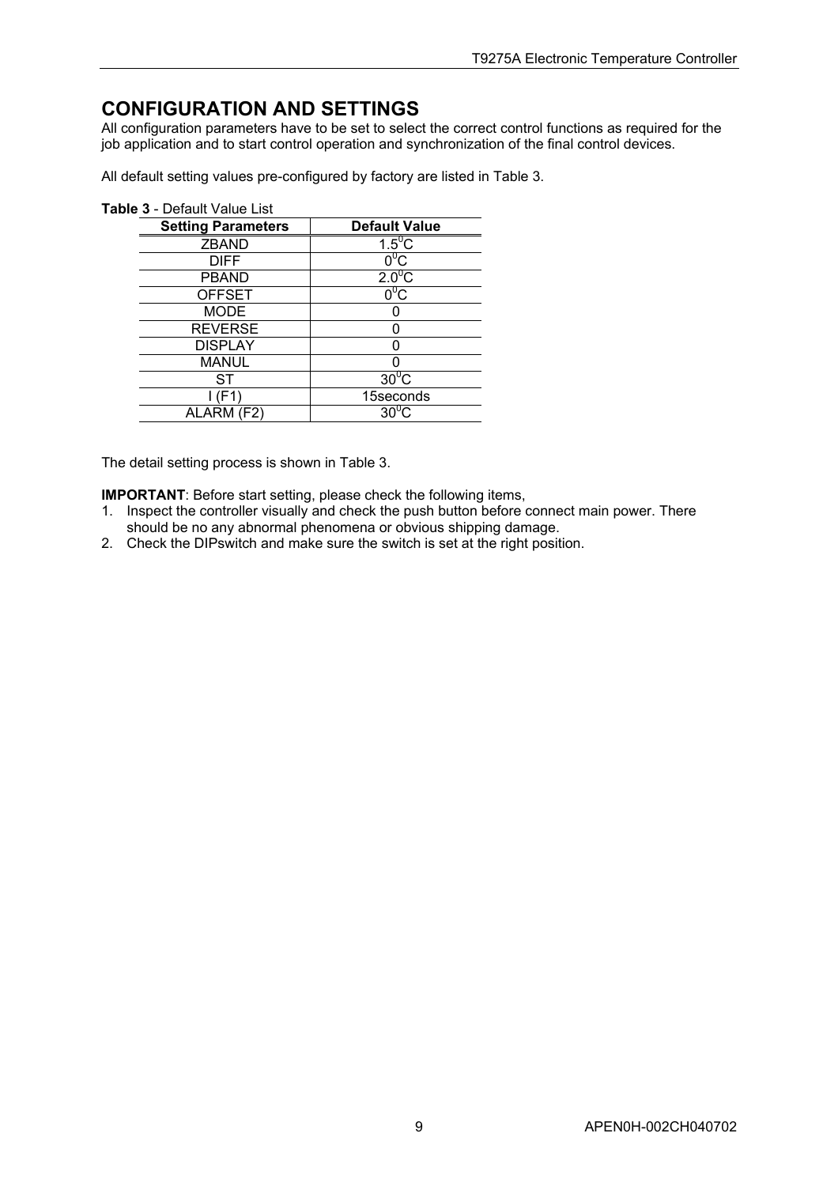## <span id="page-8-0"></span>**CONFIGURATION AND SETTINGS**

All configuration parameters have to be set to select the correct control functions as required for the job application and to start control operation and synchronization of the final control devices.

All default setting values pre-configured by factory are listed in Table 3.

| <b>Setting Parameters</b> | <b>Default Value</b>  |
|---------------------------|-----------------------|
| <b>ZBAND</b>              | $1.5^0$ C             |
| <b>DIFF</b>               | $0^0$ C:              |
| PBAND                     | $2.0\overline{{}^0C}$ |
| <b>OFFSET</b>             | $0^0$ C               |
| <b>MODE</b>               |                       |
| <b>REVERSE</b>            |                       |
| <b>DISPLAY</b>            |                       |
| <b>MANUL</b>              |                       |
| ST                        | $30^0$ C              |
|                           | 15seconds             |
| ALARM (F2)                | $30^{0}$              |

The detail setting process is shown in Table 3.

**IMPORTANT**: Before start setting, please check the following items,

- 1. Inspect the controller visually and check the push button before connect main power. There should be no any abnormal phenomena or obvious shipping damage.
- 2. Check the DIPswitch and make sure the switch is set at the right position.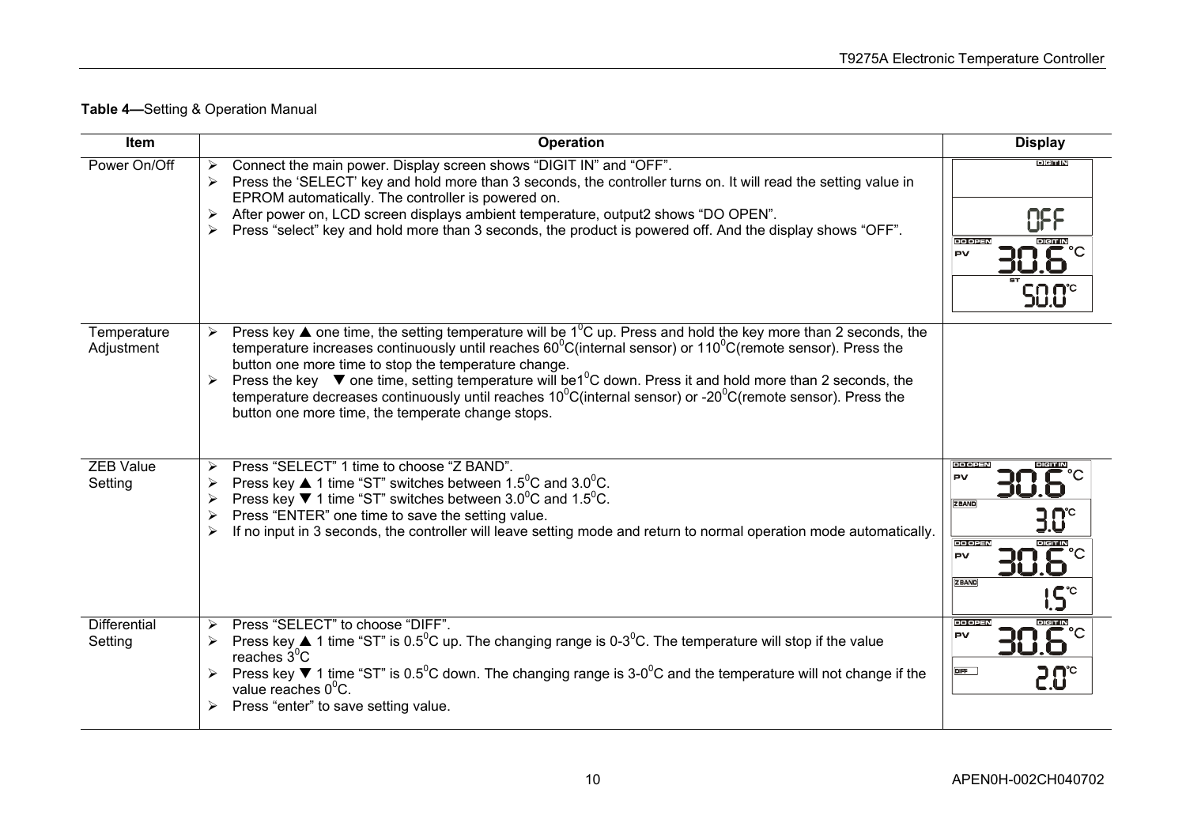## **Table 4—**Setting & Operation Manual

| <b>Item</b>                    | <b>Operation</b>                                                                                                                                                                                                                                                                                                                                                                                                                                                                                                                                                                                                                                              | <b>Display</b>                                                                                                                               |
|--------------------------------|---------------------------------------------------------------------------------------------------------------------------------------------------------------------------------------------------------------------------------------------------------------------------------------------------------------------------------------------------------------------------------------------------------------------------------------------------------------------------------------------------------------------------------------------------------------------------------------------------------------------------------------------------------------|----------------------------------------------------------------------------------------------------------------------------------------------|
| Power On/Off                   | Connect the main power. Display screen shows "DIGIT IN" and "OFF".<br>Press the 'SELECT' key and hold more than 3 seconds, the controller turns on. It will read the setting value in<br>➤<br>EPROM automatically. The controller is powered on.<br>After power on, LCD screen displays ambient temperature, output2 shows "DO OPEN".<br>➤<br>Press "select" key and hold more than 3 seconds, the product is powered off. And the display shows "OFF".<br>≻                                                                                                                                                                                                  | <b>DIGIT IN</b><br>ΠΕΕ<br><b>DO OPER</b><br>DIGIT IN<br><b>PV</b>                                                                            |
| Temperature<br>Adjustment      | Press key $\triangle$ one time, the setting temperature will be $1^0C$ up. Press and hold the key more than 2 seconds, the<br>temperature increases continuously until reaches $60^{\circ}$ C(internal sensor) or 110 $^{\circ}$ C(remote sensor). Press the<br>button one more time to stop the temperature change.<br>Press the key $\blacktriangledown$ one time, setting temperature will be1 <sup>o</sup> C down. Press it and hold more than 2 seconds, the<br>≻<br>temperature decreases continuously until reaches $10^{\circ}$ C(internal sensor) or -20 $^{\circ}$ C(remote sensor). Press the<br>button one more time, the temperate change stops. |                                                                                                                                              |
| <b>ZEB Value</b><br>Setting    | Press "SELECT" 1 time to choose "Z BAND".<br>⋗<br>Press key ▲ 1 time "ST" switches between $1.5^{\circ}$ C and $3.0^{\circ}$ C.<br>≻<br>Press key $\blacktriangledown$ 1 time "ST" switches between 3.0 <sup>°</sup> C and 1.5 <sup>°</sup> C.<br>➤<br>Press "ENTER" one time to save the setting value.<br>➤<br>If no input in 3 seconds, the controller will leave setting mode and return to normal operation mode automatically.<br>≻                                                                                                                                                                                                                     | <b>DO OPE</b><br><b>PV</b><br>ZBAND<br>$\mathsf{B}^\circ$<br><b>DO OPER</b><br><b>JIGIT IN</b><br><b>PV</b><br><b>ZBAND</b><br>$i.5^{\circ}$ |
| <b>Differential</b><br>Setting | Press "SELECT" to choose "DIFF".<br>≻<br>Press key ▲ 1 time "ST" is 0.5 <sup>°</sup> C up. The changing range is 0-3 <sup>°</sup> C. The temperature will stop if the value<br>reaches $3^0C$<br>Press key ▼ 1 time "ST" is 0.5 <sup>o</sup> C down. The changing range is 3-0 <sup>o</sup> C and the temperature will not change if the<br>value reaches $0^0C$ .<br>Press "enter" to save setting value.                                                                                                                                                                                                                                                    | <b>DO OPEN</b><br>DIGIT IN<br>PV<br><b>DIFF</b><br>20°                                                                                       |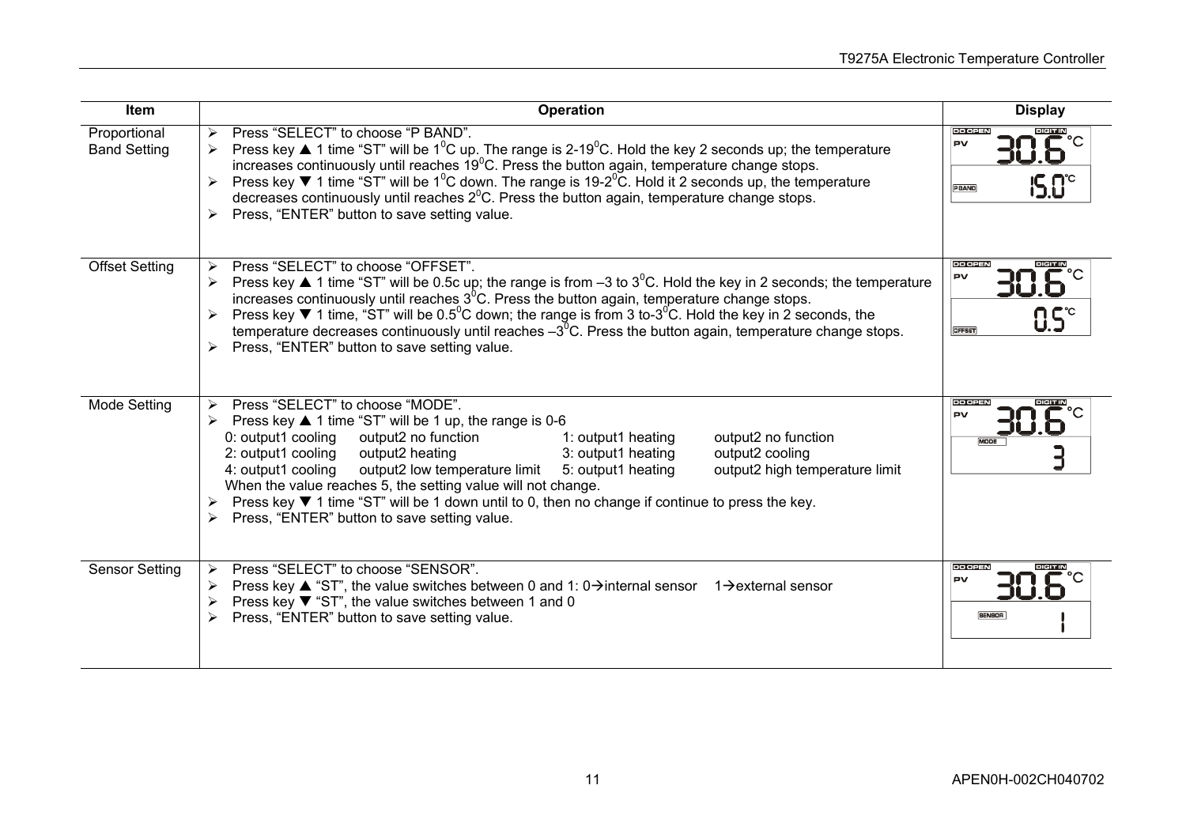| Item                                | <b>Operation</b>                                                                                                                                                                                                                                                                                                                                                                                                                                                                                                                                                                                                   | <b>Display</b>                                   |
|-------------------------------------|--------------------------------------------------------------------------------------------------------------------------------------------------------------------------------------------------------------------------------------------------------------------------------------------------------------------------------------------------------------------------------------------------------------------------------------------------------------------------------------------------------------------------------------------------------------------------------------------------------------------|--------------------------------------------------|
| Proportional<br><b>Band Setting</b> | Press "SELECT" to choose "P BAND".<br>$\triangleright$<br>Press key ▲ 1 time "ST" will be 1 <sup>0</sup> C up. The range is 2-19 <sup>0</sup> C. Hold the key 2 seconds up; the temperature<br>increases continuously until reaches 19 <sup>°</sup> C. Press the button again, temperature change stops.<br>Press key ▼ 1 time "ST" will be 1 <sup>o</sup> C down. The range is 19-2 <sup>o</sup> C. Hold it 2 seconds up, the temperature<br>➤<br>decreases continuously until reaches $2^0$ C. Press the button again, temperature change stops.<br>Press, "ENTER" button to save setting value.<br>➤            | <b>DO OPEN</b><br><b>DIGIT IN</b><br>PV<br>PBAND |
| <b>Offset Setting</b>               | Press "SELECT" to choose "OFFSET".<br>⋗<br>Press key ▲ 1 time "ST" will be 0.5c up; the range is from -3 to $3^0$ C. Hold the key in 2 seconds; the temperature<br>≻<br>increases continuously until reaches 3 <sup>°</sup> C. Press the button again, temperature change stops.<br>> Press key ▼ 1 time, "ST" will be 0.5 <sup>0</sup> C down; the range is from 3 to-3 <sup>0</sup> C. Hold the key in 2 seconds, the<br>temperature decreases continuously until reaches $-30C$ . Press the button again, temperature change stops.<br>Press, "ENTER" button to save setting value.<br>$\blacktriangleright$    | <b>DO OPE</b><br>PV<br>OFFSET                    |
| Mode Setting                        | Press "SELECT" to choose "MODE".<br>↘<br>Press key ▲ 1 time "ST" will be 1 up, the range is 0-6<br>0: output1 cooling<br>output2 no function<br>1: output1 heating<br>output2 no function<br>2: output1 cooling<br>output2 heating<br>3: output1 heating<br>output2 cooling<br>output2 low temperature limit<br>output2 high temperature limit<br>4: output1 cooling<br>5: output1 heating<br>When the value reaches 5, the setting value will not change.<br>Press key $\Psi$ 1 time "ST" will be 1 down until to 0, then no change if continue to press the key.<br>Press, "ENTER" button to save setting value. | <b>DO OPEN</b><br>nern<br>ÞV<br><b>MODE</b>      |
| <b>Sensor Setting</b>               | Press "SELECT" to choose "SENSOR".<br>↘<br>Press key ▲ "ST", the value switches between 0 and 1: 0 $\rightarrow$ internal sensor 1 $\rightarrow$ external sensor<br>➤<br>Press key $\Psi$ "ST", the value switches between 1 and 0<br>➤<br>Press, "ENTER" button to save setting value.<br>≻                                                                                                                                                                                                                                                                                                                       | <b>DO OPER</b><br>PV<br><b>SENSOR</b>            |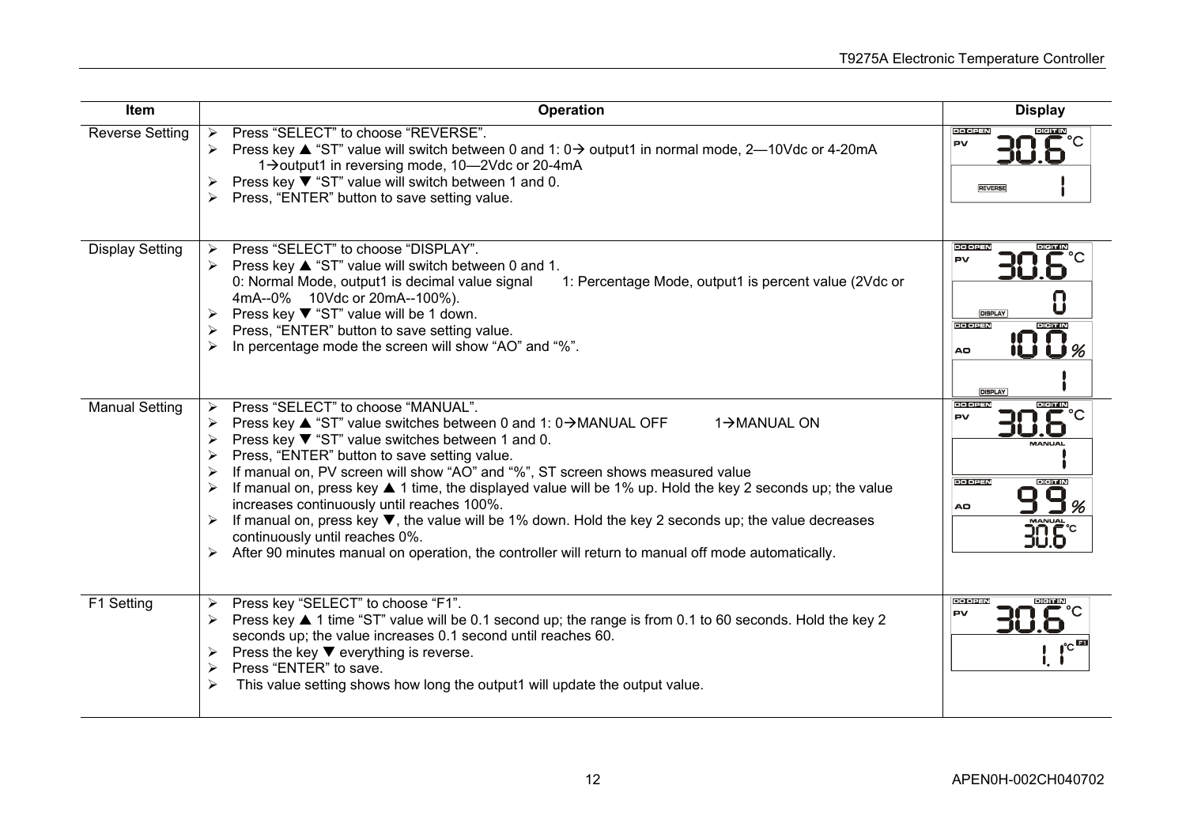| Item                                            | Operation                                                                                                                                                                                                                                                                                                                                                                                                                                                                                                                                                                                                                                                                                                                                                    | <b>Display</b>                                                                                                                                                   |
|-------------------------------------------------|--------------------------------------------------------------------------------------------------------------------------------------------------------------------------------------------------------------------------------------------------------------------------------------------------------------------------------------------------------------------------------------------------------------------------------------------------------------------------------------------------------------------------------------------------------------------------------------------------------------------------------------------------------------------------------------------------------------------------------------------------------------|------------------------------------------------------------------------------------------------------------------------------------------------------------------|
| <b>Reverse Setting</b>                          | Press "SELECT" to choose "REVERSE".<br>≻<br>Press key $\blacktriangle$ "ST" value will switch between 0 and 1: 0 $\rightarrow$ output1 in normal mode, 2—10Vdc or 4-20mA<br>1→output1 in reversing mode, 10–2Vdc or 20-4mA<br>Press key ▼ "ST" value will switch between 1 and 0.<br>➤<br>Press, "ENTER" button to save setting value.<br>➤                                                                                                                                                                                                                                                                                                                                                                                                                  | <b>DO OPEN</b><br>DIGIT IN<br>PV<br><b>REVERSE</b>                                                                                                               |
| <b>Display Setting</b><br><b>Manual Setting</b> | Press "SELECT" to choose "DISPLAY".<br>↘<br>Press key $\triangle$ "ST" value will switch between 0 and 1.<br>➤<br>0: Normal Mode, output1 is decimal value signal<br>1: Percentage Mode, output1 is percent value (2Vdc or<br>4mA--0% 10Vdc or 20mA--100%).<br>Press key ▼ "ST" value will be 1 down.<br>➤<br>Press, "ENTER" button to save setting value.<br>≻<br>In percentage mode the screen will show "AO" and "%".<br>≻<br>Press "SELECT" to choose "MANUAL".<br>≻                                                                                                                                                                                                                                                                                     | <b>DO OPE</b><br><b>DIGIT IN</b><br><b>PV</b><br><b>DISPLAY</b><br><b>DO OPEN</b><br><b>DIGIT IN</b><br>AO<br><b>DISPLAY</b><br><b>DIGIT IN</b><br><b>DO OPE</b> |
|                                                 | Press key $\triangle$ "ST" value switches between 0 and 1: 0 $\rightarrow$ MANUAL OFF<br>1→MANUAL ON<br>≻<br>Press key ▼ "ST" value switches between 1 and 0.<br>≻<br>Press, "ENTER" button to save setting value.<br>≻<br>If manual on, PV screen will show "AO" and "%", ST screen shows measured value<br>≻<br>If manual on, press key $\triangle$ 1 time, the displayed value will be 1% up. Hold the key 2 seconds up; the value<br>≻<br>increases continuously until reaches 100%.<br>If manual on, press key $\blacktriangledown$ , the value will be 1% down. Hold the key 2 seconds up; the value decreases<br>continuously until reaches 0%.<br>After 90 minutes manual on operation, the controller will return to manual off mode automatically. | <b>PV</b><br><b>VIANUAL</b><br><b>DO OPEN</b><br><b>DIGIT IN</b><br>AO<br><b>MANUAL</b><br>30.6°                                                                 |
| F1 Setting                                      | Press key "SELECT" to choose "F1".<br>➤<br>Press key ▲ 1 time "ST" value will be 0.1 second up; the range is from 0.1 to 60 seconds. Hold the key 2<br>seconds up; the value increases 0.1 second until reaches 60.<br>Press the key $\blacktriangledown$ everything is reverse.<br>Press "ENTER" to save.<br>➤<br>This value setting shows how long the output1 will update the output value.<br>≻                                                                                                                                                                                                                                                                                                                                                          | <b>DO OPEN</b><br><b>DIGIT IN</b><br>PV<br>C                                                                                                                     |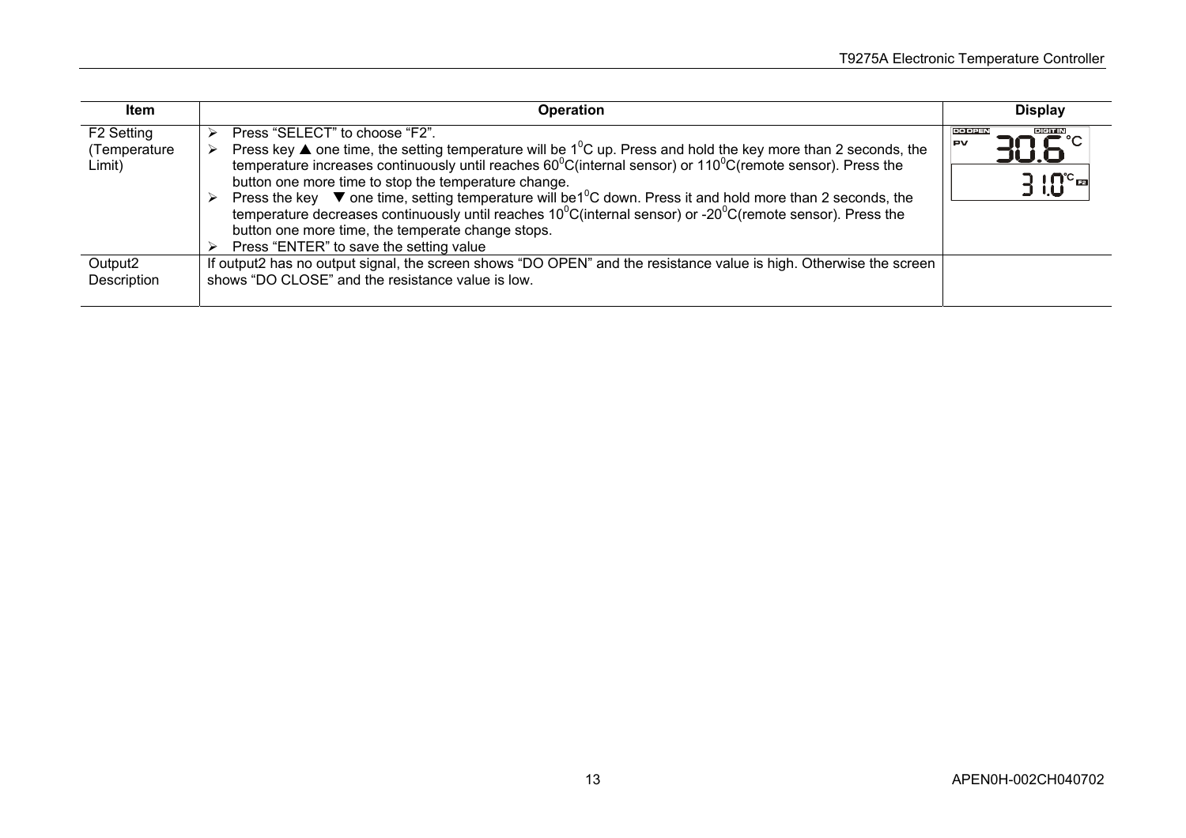| Item                                            | <b>Operation</b>                                                                                                                                                                                                                                                                                                                                                                                                                                                                                                                                                                                                                                                                                                   | <b>Display</b>                                                                                              |
|-------------------------------------------------|--------------------------------------------------------------------------------------------------------------------------------------------------------------------------------------------------------------------------------------------------------------------------------------------------------------------------------------------------------------------------------------------------------------------------------------------------------------------------------------------------------------------------------------------------------------------------------------------------------------------------------------------------------------------------------------------------------------------|-------------------------------------------------------------------------------------------------------------|
| F <sub>2</sub> Setting<br>Temperature<br>Limit) | Press "SELECT" to choose "F2".<br>Press key $\triangle$ one time, the setting temperature will be $1^0C$ up. Press and hold the key more than 2 seconds, the<br>temperature increases continuously until reaches $60^{\circ}$ C(internal sensor) or 110 $^{\circ}$ C(remote sensor). Press the<br>button one more time to stop the temperature change.<br>Press the key ▼ one time, setting temperature will be1 <sup>0</sup> C down. Press it and hold more than 2 seconds, the<br>temperature decreases continuously until reaches $10^{\circ}$ C(internal sensor) or -20 $^{\circ}$ C(remote sensor). Press the<br>button one more time, the temperate change stops.<br>Press "ENTER" to save the setting value | <b>DO OPEN</b><br><b>DIGIT IN</b><br><b>PV</b><br>$\mathbf{\mathsf{B}}$ : $\mathbf{\mathsf{C}}^{\circ}$ and |
| Output2<br>Description                          | If output2 has no output signal, the screen shows "DO OPEN" and the resistance value is high. Otherwise the screen<br>shows "DO CLOSE" and the resistance value is low.                                                                                                                                                                                                                                                                                                                                                                                                                                                                                                                                            |                                                                                                             |